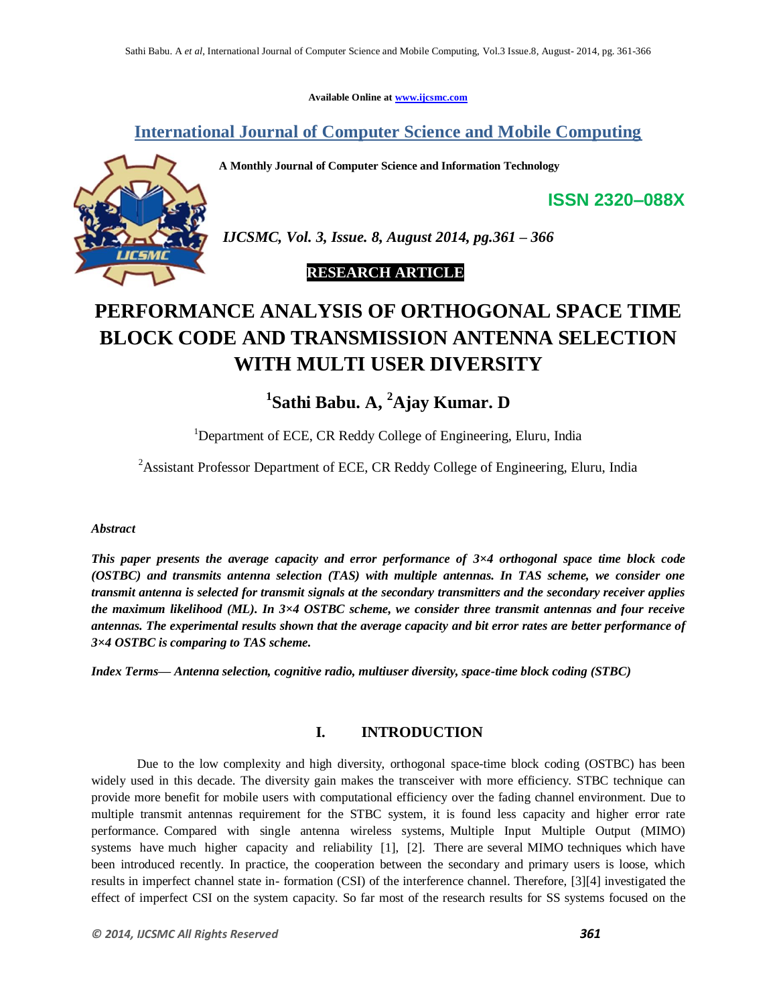**Available Online at www.ijcsmc.com**

## **International Journal of Computer Science and Mobile Computing**

**A Monthly Journal of Computer Science and Information Technology**



*IJCSMC, Vol. 3, Issue. 8, August 2014, pg.361 – 366*

### **RESEARCH ARTICLE**

# **PERFORMANCE ANALYSIS OF ORTHOGONAL SPACE TIME BLOCK CODE AND TRANSMISSION ANTENNA SELECTION WITH MULTI USER DIVERSITY**

# **1 Sathi Babu. A, <sup>2</sup>Ajay Kumar. D**

<sup>1</sup>Department of ECE, CR Reddy College of Engineering, Eluru, India

<sup>2</sup> Assistant Professor Department of ECE, CR Reddy College of Engineering, Eluru, India

#### *Abstract*

*This paper presents the average capacity and error performance of 3×4 orthogonal space time block code (OSTBC) and transmits antenna selection (TAS) with multiple antennas. In TAS scheme, we consider one transmit antenna is selected for transmit signals at the secondary transmitters and the secondary receiver applies the maximum likelihood (ML). In 3×4 OSTBC scheme, we consider three transmit antennas and four receive antennas. The experimental results shown that the average capacity and bit error rates are better performance of 3×4 OSTBC is comparing to TAS scheme.*

*Index Terms— Antenna selection, cognitive radio, multiuser diversity, space-time block coding (STBC)*

#### **I. INTRODUCTION**

Due to the low complexity and high diversity, orthogonal space-time block coding (OSTBC) has been widely used in this decade. The diversity gain makes the transceiver with more efficiency. STBC technique can provide more benefit for mobile users with computational efficiency over the fading channel environment. Due to multiple transmit antennas requirement for the STBC system, it is found less capacity and higher error rate performance. Compared with single antenna wireless systems, Multiple Input Multiple Output (MIMO) systems have much higher capacity and reliability [1], [2]. There are several MIMO techniques which have been introduced recently. In practice, the cooperation between the secondary and primary users is loose, which results in imperfect channel state in- formation (CSI) of the interference channel. Therefore, [3][4] investigated the effect of imperfect CSI on the system capacity. So far most of the research results for SS systems focused on the

**ISSN 2320–088X**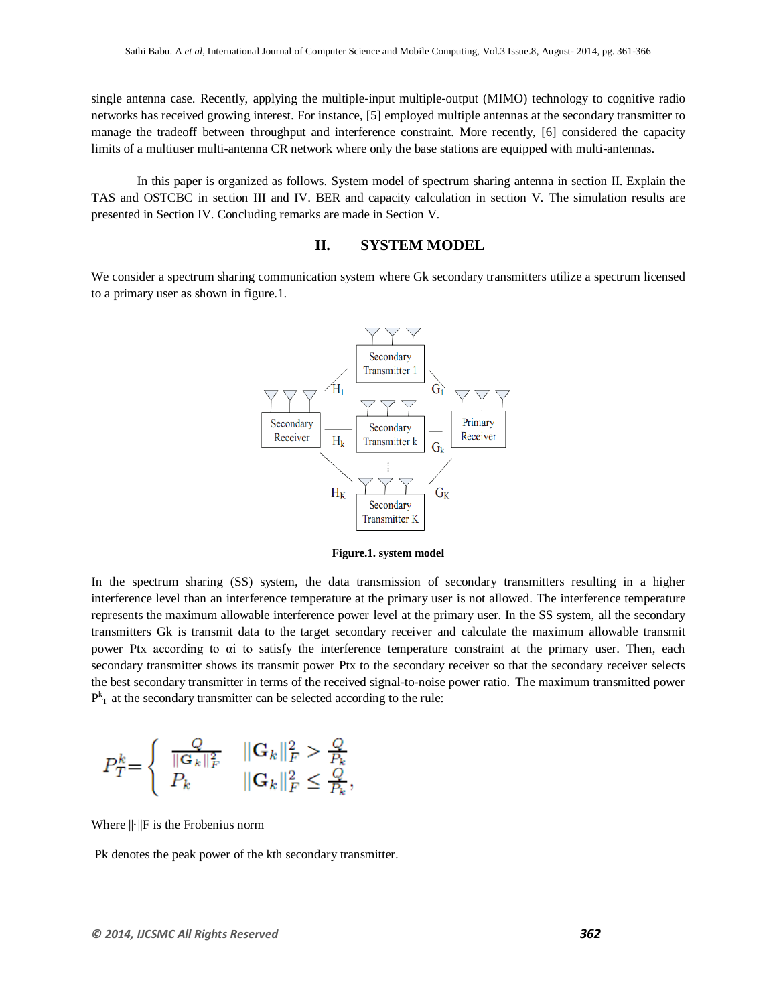single antenna case. Recently, applying the multiple-input multiple-output (MIMO) technology to cognitive radio networks has received growing interest. For instance, [5] employed multiple antennas at the secondary transmitter to manage the tradeoff between throughput and interference constraint. More recently, [6] considered the capacity limits of a multiuser multi-antenna CR network where only the base stations are equipped with multi-antennas.

In this paper is organized as follows. System model of spectrum sharing antenna in section II. Explain the TAS and OSTCBC in section III and IV. BER and capacity calculation in section V. The simulation results are presented in Section IV. Concluding remarks are made in Section V.

#### **II. SYSTEM MODEL**

We consider a spectrum sharing communication system where Gk secondary transmitters utilize a spectrum licensed to a primary user as shown in figure.1.



**Figure.1. system model**

In the spectrum sharing (SS) system, the data transmission of secondary transmitters resulting in a higher interference level than an interference temperature at the primary user is not allowed. The interference temperature represents the maximum allowable interference power level at the primary user. In the SS system, all the secondary transmitters Gk is transmit data to the target secondary receiver and calculate the maximum allowable transmit power Ptx according to αi to satisfy the interference temperature constraint at the primary user. Then, each secondary transmitter shows its transmit power Ptx to the secondary receiver so that the secondary receiver selects the best secondary transmitter in terms of the received signal-to-noise power ratio. The maximum transmitted power  $P_{T}^{k}$  at the secondary transmitter can be selected according to the rule:

$$
P_T^k\!\!=\!\left\{\begin{array}{ll}\frac{Q}{\|\mathbf{G}_k\|_F^2} & \|\mathbf{G}_k\|_F^2 > \frac{Q}{P_k}\\P_k & \|\mathbf{G}_k\|_F^2 \leq \frac{Q}{P_k}\end{array}\right.
$$

Where ||·||F is the Frobenius norm

Pk denotes the peak power of the kth secondary transmitter.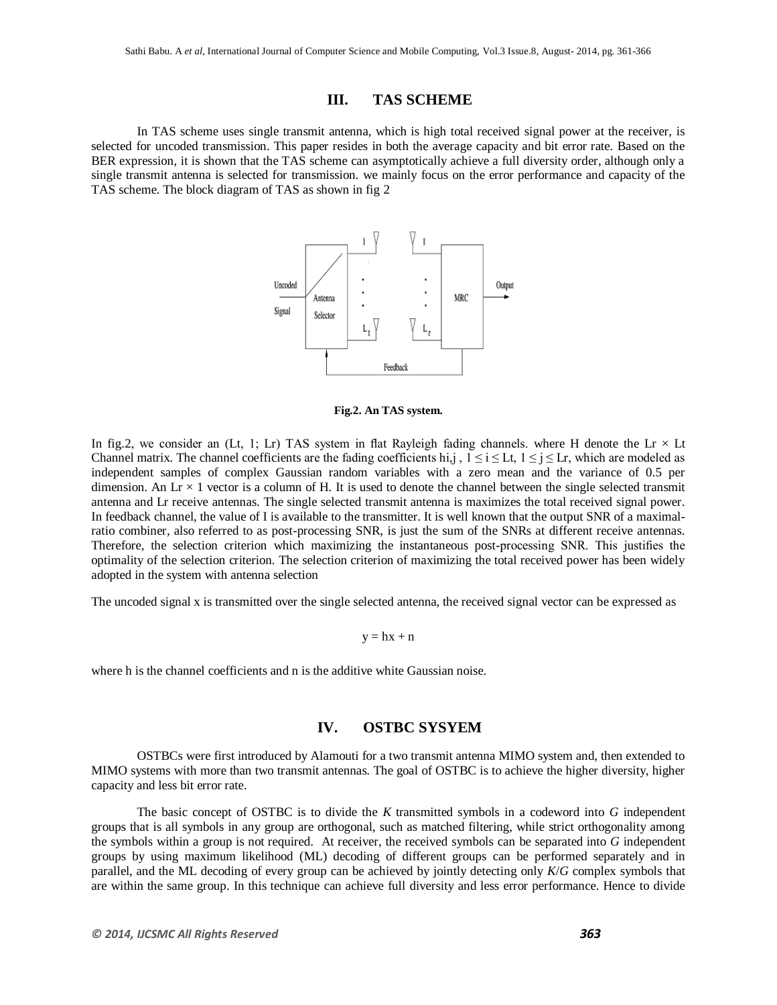#### **III. TAS SCHEME**

In TAS scheme uses single transmit antenna, which is high total received signal power at the receiver, is selected for uncoded transmission. This paper resides in both the average capacity and bit error rate. Based on the BER expression, it is shown that the TAS scheme can asymptotically achieve a full diversity order, although only a single transmit antenna is selected for transmission. we mainly focus on the error performance and capacity of the TAS scheme. The block diagram of TAS as shown in fig 2



**Fig.2. An TAS system.**

In fig.2, we consider an (Lt, 1; Lr) TAS system in flat Rayleigh fading channels. where H denote the Lr  $\times$  Lt Channel matrix. The channel coefficients are the fading coefficients hi,j,  $1 \le i \le L$ t,  $1 \le j \le L$ r, which are modeled as independent samples of complex Gaussian random variables with a zero mean and the variance of 0.5 per dimension. An  $Lr \times 1$  vector is a column of H. It is used to denote the channel between the single selected transmit antenna and Lr receive antennas. The single selected transmit antenna is maximizes the total received signal power. In feedback channel, the value of I is available to the transmitter. It is well known that the output SNR of a maximalratio combiner, also referred to as post-processing SNR, is just the sum of the SNRs at different receive antennas. Therefore, the selection criterion which maximizing the instantaneous post-processing SNR. This justifies the optimality of the selection criterion. The selection criterion of maximizing the total received power has been widely adopted in the system with antenna selection

The uncoded signal x is transmitted over the single selected antenna, the received signal vector can be expressed as

 $y = hx + n$ 

where h is the channel coefficients and n is the additive white Gaussian noise.

#### **IV. OSTBC SYSYEM**

OSTBCs were first introduced by Alamouti for a two transmit antenna MIMO system and, then extended to MIMO systems with more than two transmit antennas. The goal of OSTBC is to achieve the higher diversity, higher capacity and less bit error rate.

The basic concept of OSTBC is to divide the *K* transmitted symbols in a codeword into *G* independent groups that is all symbols in any group are orthogonal, such as matched filtering, while strict orthogonality among the symbols within a group is not required. At receiver, the received symbols can be separated into *G* independent groups by using maximum likelihood (ML) decoding of different groups can be performed separately and in parallel, and the ML decoding of every group can be achieved by jointly detecting only *K*/*G* complex symbols that are within the same group. In this technique can achieve full diversity and less error performance. Hence to divide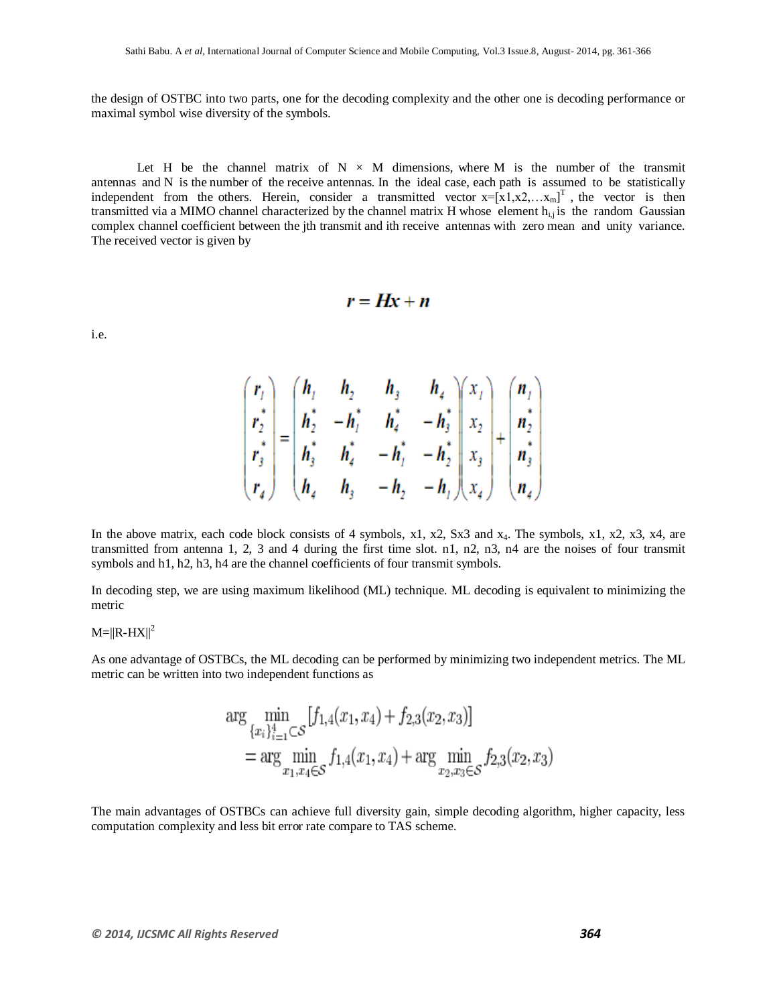the design of OSTBC into two parts, one for the decoding complexity and the other one is decoding performance or maximal symbol wise diversity of the symbols.

Let H be the channel matrix of  $N \times M$  dimensions, where M is the number of the transmit antennas and N is the number of the receive antennas. In the ideal case, each path is assumed to be statistically independent from the others. Herein, consider a transmitted vector  $x=[x1,x2,...x_m]^T$ , the vector is then transmitted via a MIMO channel characterized by the channel matrix H whose element  $h_{i,j}$  is the random Gaussian complex channel coefficient between the jth transmit and ith receive antennas with zero mean and unity variance. The received vector is given by

$$
r = Hx + n
$$

i.e.

$$
\begin{pmatrix}\n r_1 \\
r_2^* \\
r_3^* \\
r_4\n\end{pmatrix} =\n\begin{pmatrix}\n h_1 & h_2 & h_3 & h_4 \\
h_2^* & -h_1^* & h_4^* & -h_3^* \\
h_3^* & h_4^* & -h_1^* & -h_2^* \\
h_4 & h_3 & -h_2 & -h_1\n\end{pmatrix}\n\begin{pmatrix}\n x_1 \\
x_2 \\
x_3 \\
x_4\n\end{pmatrix} +\n\begin{pmatrix}\n n_1 \\
n_2^* \\
n_3^* \\
n_4\n\end{pmatrix}
$$

In the above matrix, each code block consists of 4 symbols, x1, x2, Sx3 and  $x_4$ . The symbols, x1, x2, x3, x4, are transmitted from antenna 1, 2, 3 and 4 during the first time slot. n1, n2, n3, n4 are the noises of four transmit symbols and h1, h2, h3, h4 are the channel coefficients of four transmit symbols.

In decoding step, we are using maximum likelihood (ML) technique. ML decoding is equivalent to minimizing the metric

#### $M=||R-HX||^2$

As one advantage of OSTBCs, the ML decoding can be performed by minimizing two independent metrics. The ML metric can be written into two independent functions as

$$
\arg \min_{\{x_i\}_{i=1}^4 \subset S} [f_{1,4}(x_1, x_4) + f_{2,3}(x_2, x_3)]
$$
  
= 
$$
\arg \min_{x_1, x_4 \in S} f_{1,4}(x_1, x_4) + \arg \min_{x_2, x_3 \in S} f_{2,3}(x_2, x_3)
$$

The main advantages of OSTBCs can achieve full diversity gain, simple decoding algorithm, higher capacity, less computation complexity and less bit error rate compare to TAS scheme.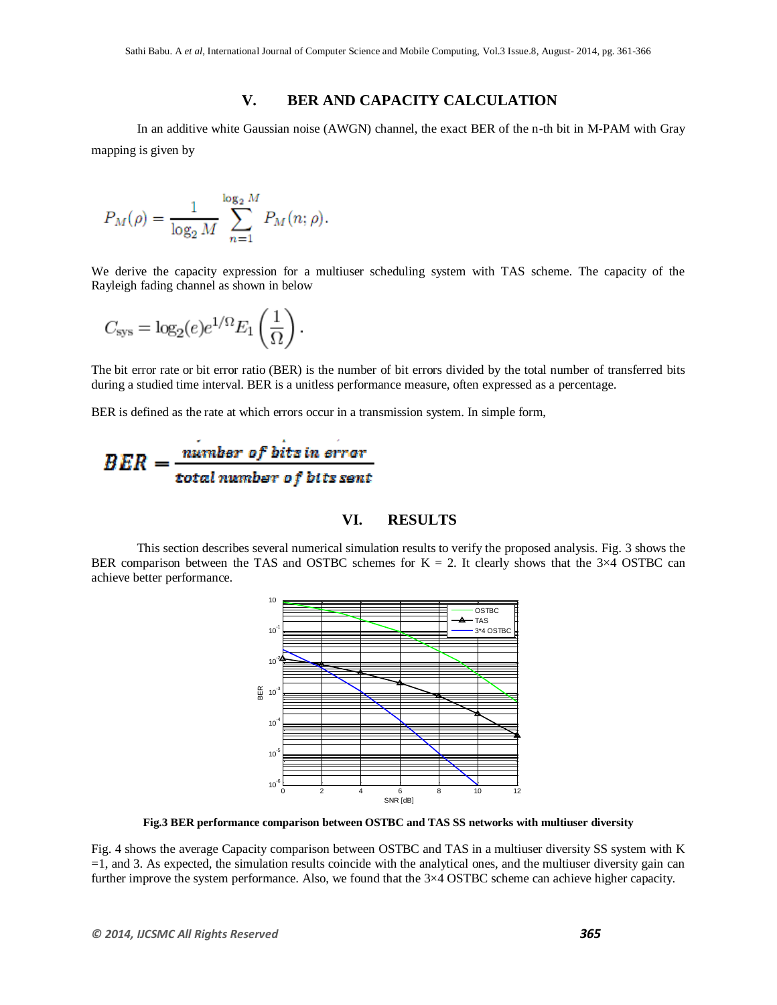#### **V. BER AND CAPACITY CALCULATION**

In an additive white Gaussian noise (AWGN) channel, the exact BER of the n-th bit in M-PAM with Gray mapping is given by

$$
P_M(\rho) = \frac{1}{\log_2 M} \sum_{n=1}^{\log_2 M} P_M(n; \rho).
$$

We derive the capacity expression for a multiuser scheduling system with TAS scheme. The capacity of the Rayleigh fading channel as shown in below

$$
C_{\rm sys} = \log_2(e)e^{1/\Omega} E_1\left(\frac{1}{\Omega}\right).
$$

The bit error rate or bit error ratio (BER) is the number of bit errors divided by the total number of transferred bits during a studied time interval. BER is a unitless performance measure, often expressed as a [percentage.](http://en.wikipedia.org/wiki/Percentage)

BER is defined as the rate at which errors occur in a transmission system. In simple form,

$$
BER = \frac{number\ of\ bits\ in\ error}{total\ number\ of\ bits\ sent}
$$

#### **VI. RESULTS**

This section describes several numerical simulation results to verify the proposed analysis. Fig. 3 shows the BER comparison between the TAS and OSTBC schemes for  $K = 2$ . It clearly shows that the 3×4 OSTBC can achieve better performance.



**Fig.3 BER performance comparison between OSTBC and TAS SS networks with multiuser diversity**

Fig. 4 shows the average Capacity comparison between OSTBC and TAS in a multiuser diversity SS system with K  $=1$ , and 3. As expected, the simulation results coincide with the analytical ones, and the multiuser diversity gain can further improve the system performance. Also, we found that the 3×4 OSTBC scheme can achieve higher capacity.